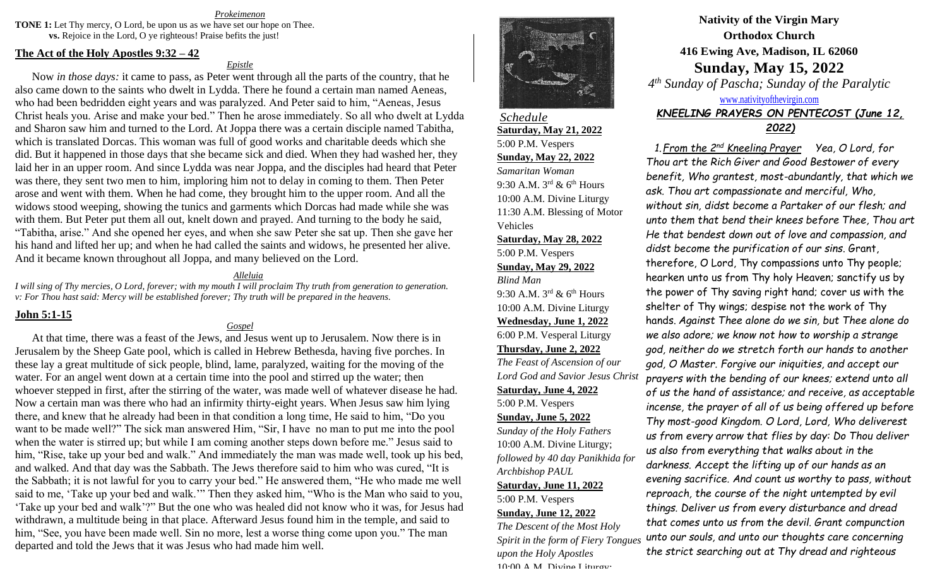*Prokeimenon*

**TONE 1:** Let Thy mercy, O Lord, be upon us as we have set our hope on Thee. **vs.** Rejoice in the Lord, O ye righteous! Praise befits the just!

#### **The Act of the Holy Apostles 9:32 – 42**

*Epistle*

Now *in those days:* it came to pass, as Peter went through all the parts of the country, that he also came down to the saints who dwelt in Lydda. There he found a certain man named Aeneas, who had been bedridden eight years and was paralyzed. And Peter said to him, "Aeneas, Jesus Christ heals you. Arise and make your bed." Then he arose immediately. So all who dwelt at Lydda and Sharon saw him and turned to the Lord. At Joppa there was a certain disciple named Tabitha, which is translated Dorcas. This woman was full of good works and charitable deeds which she did. But it happened in those days that she became sick and died. When they had washed her, they laid her in an upper room. And since Lydda was near Joppa, and the disciples had heard that Peter was there, they sent two men to him, imploring him not to delay in coming to them. Then Peter arose and went with them. When he had come, they brought him to the upper room. And all the widows stood weeping, showing the tunics and garments which Dorcas had made while she was with them. But Peter put them all out, knelt down and prayed. And turning to the body he said, "Tabitha, arise." And she opened her eyes, and when she saw Peter she sat up. Then she gave her his hand and lifted her up; and when he had called the saints and widows, he presented her alive. And it became known throughout all Joppa, and many believed on the Lord.

#### *Alleluia*

*I will sing of Thy mercies, O Lord, forever; with my mouth I will proclaim Thy truth from generation to generation. v: For Thou hast said: Mercy will be established forever; Thy truth will be prepared in the heavens.*

### **John 5:1-15**

#### *Gospel*

At that time, there was a feast of the Jews, and Jesus went up to Jerusalem. Now there is in Jerusalem by the Sheep Gate pool, which is called in Hebrew Bethesda, having five porches. In these lay a great multitude of sick people, blind, lame, paralyzed, waiting for the moving of the water. For an angel went down at a certain time into the pool and stirred up the water; then whoever stepped in first, after the stirring of the water, was made well of whatever disease he had. Now a certain man was there who had an infirmity thirty-eight years. When Jesus saw him lying there, and knew that he already had been in that condition a long time, He said to him, "Do you want to be made well?" The sick man answered Him, "Sir, I have no man to put me into the pool when the water is stirred up; but while I am coming another steps down before me." Jesus said to him, "Rise, take up your bed and walk." And immediately the man was made well, took up his bed, and walked. And that day was the Sabbath. The Jews therefore said to him who was cured, "It is the Sabbath; it is not lawful for you to carry your bed." He answered them, "He who made me well said to me, 'Take up your bed and walk.'" Then they asked him, "Who is the Man who said to you, 'Take up your bed and walk'?" But the one who was healed did not know who it was, for Jesus had withdrawn, a multitude being in that place. Afterward Jesus found him in the temple, and said to him, "See, you have been made well. Sin no more, lest a worse thing come upon you." The man departed and told the Jews that it was Jesus who had made him well.



*Schedule* **Saturday, May 21, 2022** 5:00 P.M. Vespers **Sunday, May 22, 2022** *Samaritan Woman* 9:30 A.M.  $3^{rd}$  & 6<sup>th</sup> Hours 10:00 A.M. Divine Liturgy 11:30 A.M. Blessing of Motor Vehicles

## **Saturday, May 28, 2022** 5:00 P.M. Vespers **Sunday, May 29, 2022**

*Blind Man* 9:30 A.M.  $3^{rd}$  & 6<sup>th</sup> Hours 10:00 A.M. Divine Liturgy **Wednesday, June 1, 2022** 6:00 P.M. Vesperal Liturgy **Thursday, June 2, 2022** *The Feast of Ascension of our Lord God and Savior Jesus Christ* **Saturday, June 4, 2022** 5:00 P.M. Vespers **Sunday, June 5, 2022** *Sunday of the Holy Fathers* 10:00 A.M. Divine Liturgy; *followed by 40 day Panikhida for Archbishop PAUL* **Saturday, June 11, 2022** 5:00 P.M. Vespers **Sunday, June 12, 2022** *The Descent of the Most Holy* 

*Spirit in the form of Fiery Tongues upon the Holy Apostles* 10:00 A.M. Divine Liturgy:

# **Nativity of the Virgin Mary Orthodox Church 416 Ewing Ave, Madison, IL 62060 Sunday, May 15, 2022**

*4 th Sunday of Pascha; Sunday of the Paralytic*

### [www.nativityofthevirgin.com](http://www.nativityofthevirgin.com/)

### *KNEELING PRAYERS ON PENTECOST (June 12, 2022)*

*1.From the 2nd Kneeling Prayer Yea, O Lord, for Thou art the Rich Giver and Good Bestower of every benefit, Who grantest, most-abundantly, that which we ask. Thou art compassionate and merciful, Who, without sin, didst become a Partaker of our flesh; and unto them that bend their knees before Thee, Thou art He that bendest down out of love and compassion, and didst become the purification of our sins*. Grant, therefore, O Lord, Thy compassions unto Thy people; hearken unto us from Thy holy Heaven; sanctify us by the power of Thy saving right hand; cover us with the shelter of Thy wings; despise not the work of Thy hands. *Against Thee alone do we sin, but Thee alone do we also adore; we know not how to worship a strange god, neither do we stretch forth our hands to another god, O Master. Forgive our iniquities, and accept our prayers with the bending of our knees; extend unto all of us the hand of assistance; and receive, as acceptable incense, the prayer of all of us being offered up before Thy most-good Kingdom. O Lord, Lord, Who deliverest us from every arrow that flies by day: Do Thou deliver us also from everything that walks about in the darkness. Accept the lifting up of our hands as an evening sacrifice. And count us worthy to pass, without reproach, the course of the night untempted by evil things. Deliver us from every disturbance and dread that comes unto us from the devil. Grant compunction unto our souls, and unto our thoughts care concerning the strict searching out at Thy dread and righteous*